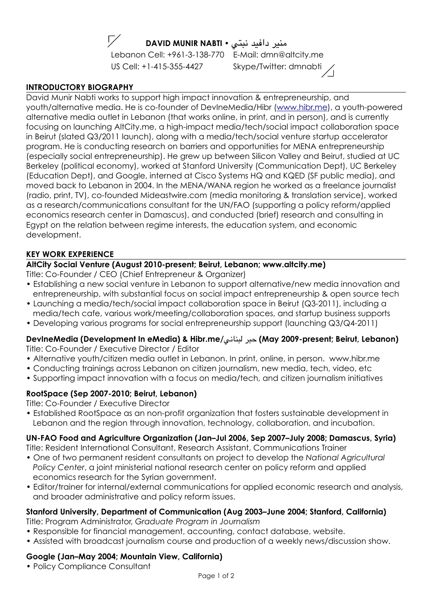

**DAVID MUNIR NABTI •** منبر دافيد نبتي •

Lebanon Cell: +961-3-138-770 E-Mail: dmn@altcity.me US Cell: +1-415-355-4427 Skype/Twitter: dmnabti

## **INTRODUCTORY BIOGRAPHY**

David Munir Nabti works to support high impact innovation & entrepreneurship, and youth/alternative media. He is co-founder of DevIneMedia/Hibr (www.hibr.me), a youth-powered alternative media outlet in Lebanon (that works online, in print, and in person), and is currently focusing on launching AltCity.me, a high-impact media/tech/social impact collaboration space in Beirut (slated Q3/2011 launch), along with a media/tech/social venture startup accelerator program. He is conducting research on barriers and opportunities for MENA entrepreneurship (especially social entrepreneurship). He grew up between Silicon Valley and Beirut, studied at UC Berkeley (political economy), worked at Stanford University (Communication Dept), UC Berkeley (Education Dept), and Google, interned at Cisco Systems HQ and KQED (SF public media), and moved back to Lebanon in 2004. In the MENA/WANA region he worked as a freelance journalist (radio, print, TV), co-founded Mideastwire.com (media monitoring & translation service), worked as a research/communications consultant for the UN/FAO (supporting a policy reform/applied economics research center in Damascus), and conducted (brief) research and consulting in Egypt on the relation between regime interests, the education system, and economic development.

## **KEY WORK EXPERIENCE**

## **AltCity Social Venture (August 2010-present; Beirut, Lebanon; www.altcity.me)**

Title: Co-Founder / CEO (Chief Entrepreneur & Organizer)

- Establishing a new social venture in Lebanon to support alternative/new media innovation and entrepreneurship, with substantial focus on social impact entrepreneurship & open source tech
- Launching a media/tech/social impact collaboration space in Beirut (Q3-2011), including a media/tech cafe, various work/meeting/collaboration spaces, and startup business supports
- Developing various programs for social entrepreneurship support (launching Q3/Q4-2011)

# **DevIneMedia (Development In eMedia) & Hibr.me/**!\$-+#. \*#/ **(May 2009-present; Beirut, Lebanon)**

Title: Co-Founder / Executive Director / Editor

- Alternative youth/citizen media outlet in Lebanon. In print, online, in person. www.hibr.me
- Conducting trainings across Lebanon on citizen journalism, new media, tech, video, etc
- Supporting impact innovation with a focus on media/tech, and citizen journalism initiatives

# **RootSpace (Sep 2007-2010; Beirut, Lebanon)**

Title: Co-Founder / Executive Director

• Established RootSpace as an non-profit organization that fosters sustainable development in Lebanon and the region through innovation, technology, collaboration, and incubation.

# **UN-FAO Food and Agriculture Organization (Jan–Jul 2006, Sep 2007–July 2008; Damascus, Syria)**

Title: Resident International Consultant, Research Assistant, Communications Trainer

- One of two permanent resident consultants on project to develop the *National Agricultural Policy Center*, a joint ministerial national research center on policy reform and applied economics research for the Syrian government.
- Editor/trainer for internal/external communications for applied economic research and analysis, and broader administrative and policy reform issues.

# **Stanford University, Department of Communication (Aug 2003–June 2004; Stanford, California)**

Title: Program Administrator, *Graduate Program in Journalism* 

- Responsible for financial management, accounting, contact database, website.
- Assisted with broadcast journalism course and production of a weekly news/discussion show.

# **Google (Jan–May 2004; Mountain View, California)**

• Policy Compliance Consultant